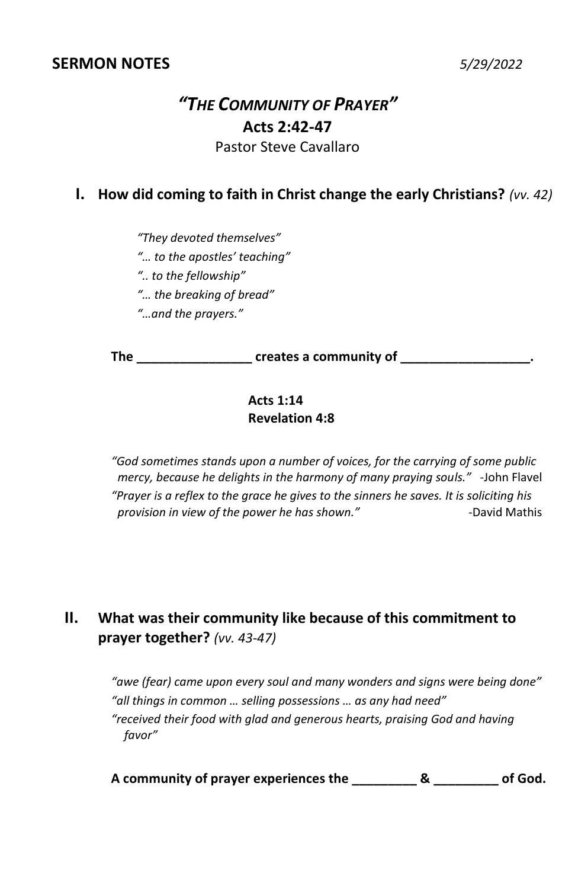# **SERMON NOTES** *5/29/2022*

# *"THE COMMUNITY OF PRAYER"* **Acts 2:42-47** Pastor Steve Cavallaro

#### **I. How did coming to faith in Christ change the early Christians?** *(vv. 42)*

*"They devoted themselves"*

*"… to the apostles' teaching"*

*".. to the fellowship"*

*"… the breaking of bread"*

*"…and the prayers."*

**The \_\_\_\_\_\_\_\_\_\_\_\_\_\_\_\_ creates a community of \_\_\_\_\_\_\_\_\_\_\_\_\_\_\_\_\_\_.**

#### **Acts 1:14 Revelation 4:8**

*"God sometimes stands upon a number of voices, for the carrying of some public mercy, because he delights in the harmony of many praying souls."* -John Flavel *"Prayer is a reflex to the grace he gives to the sinners he saves. It is soliciting his provision in view of the power he has shown."* Pavid Mathis

# **II. What was their community like because of this commitment to prayer together?** *(vv. 43-47)*

*"awe (fear) came upon every soul and many wonders and signs were being done" "all things in common … selling possessions … as any had need" "received their food with glad and generous hearts, praising God and having favor"*

| A community of prayer experiences the |  |  | of God. |
|---------------------------------------|--|--|---------|
|---------------------------------------|--|--|---------|